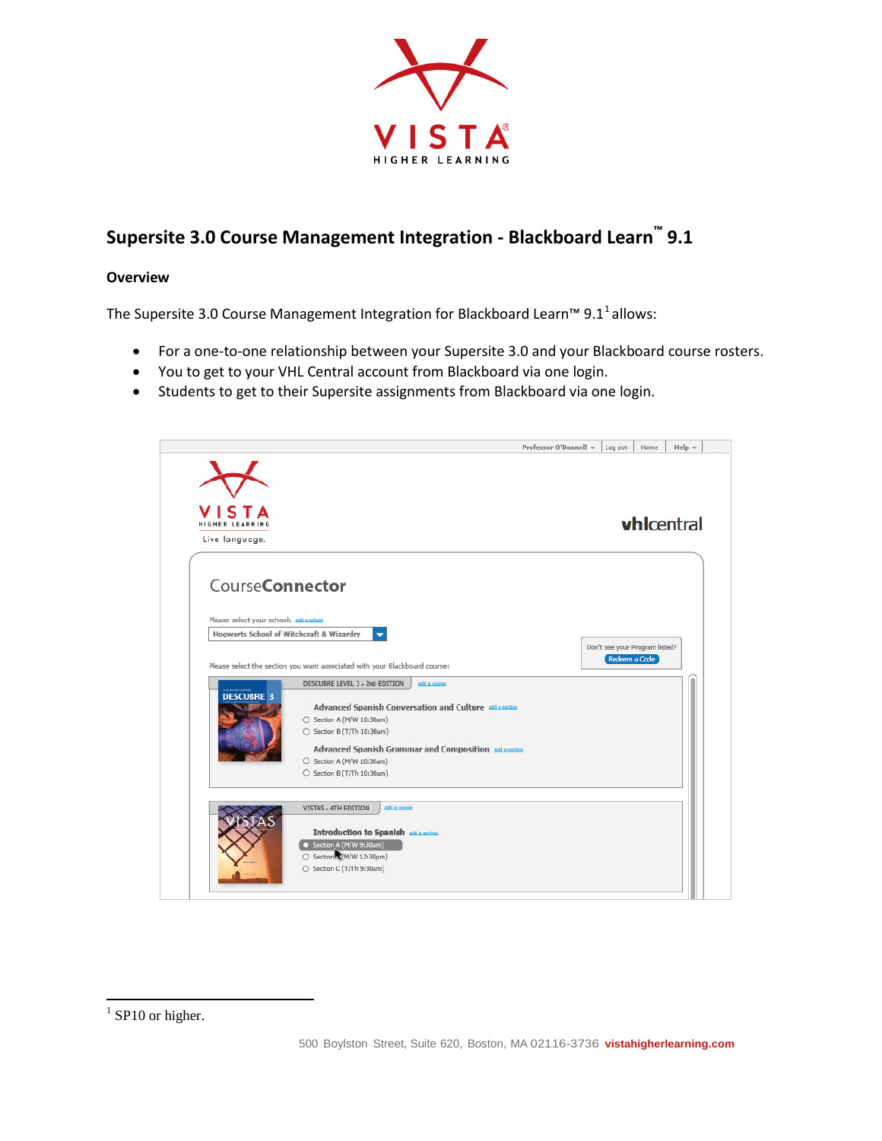

# **Supersite 3.0 Course Management Integration - Blackboard Learn™ 9.1**

### **Overview**

The Supersite 3.0 Course Management Integration for Blackboard Learn™ 9.[1](#page-0-0)<sup>1</sup> allows:

- For a one-to-one relationship between your Supersite 3.0 and your Blackboard course rosters.
- You to get to your VHL Central account from Blackboard via one login.
- Students to get to their Supersite assignments from Blackboard via one login.



<span id="page-0-0"></span> $1$  SP10 or higher.